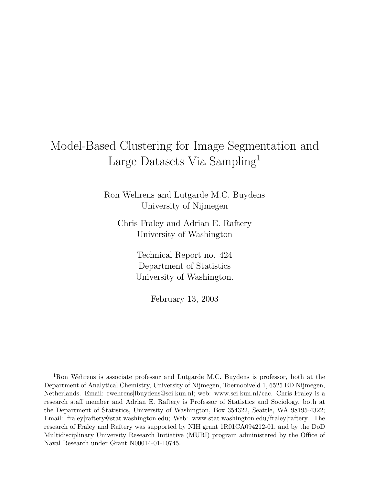# Model-Based Clustering for Image Segmentation and Large Datasets Via Sampling<sup>1</sup>

Ron Wehrens and Lutgarde M.C. Buydens University of Nijmegen

Chris Fraley and Adrian E. Raftery University of Washington

> Technical Report no. 424 Department of Statistics University of Washington.

> > February 13, 2003

<sup>1</sup>Ron Wehrens is associate professor and Lutgarde M.C. Buydens is professor, both at the Department of Analytical Chemistry, University of Nijmegen, Toernooiveld 1, 6525 ED Nijmegen, Netherlands. Email: rwehrens|lbuydens@sci.kun.nl; web: www.sci.kun.nl/cac. Chris Fraley is a research staff member and Adrian E. Raftery is Professor of Statistics and Sociology, both at the Department of Statistics, University of Washington, Box 354322, Seattle, WA 98195-4322; Email: fraley|raftery@stat.washington.edu; Web: www.stat.washington.edu/fraley|raftery. The research of Fraley and Raftery was supported by NIH grant 1R01CA094212-01, and by the DoD Multidisciplinary University Research Initiative (MURI) program administered by the Office of Naval Research under Grant N00014-01-10745.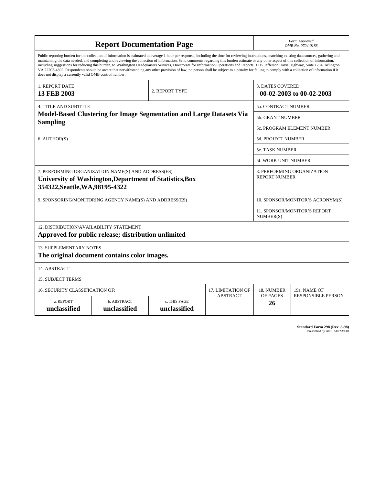| <b>Report Documentation Page</b>                                                                                                                                                                                                                                                                                                                                                                                                                                                                                                                                                                                                                                                                                                                                                                                                                                   |                                                                                                               |                                                                      |                      | Form Approved<br>OMB No. 0704-0188                  |                                                  |  |
|--------------------------------------------------------------------------------------------------------------------------------------------------------------------------------------------------------------------------------------------------------------------------------------------------------------------------------------------------------------------------------------------------------------------------------------------------------------------------------------------------------------------------------------------------------------------------------------------------------------------------------------------------------------------------------------------------------------------------------------------------------------------------------------------------------------------------------------------------------------------|---------------------------------------------------------------------------------------------------------------|----------------------------------------------------------------------|----------------------|-----------------------------------------------------|--------------------------------------------------|--|
| Public reporting burden for the collection of information is estimated to average 1 hour per response, including the time for reviewing instructions, searching existing data sources, gathering and<br>maintaining the data needed, and completing and reviewing the collection of information. Send comments regarding this burden estimate or any other aspect of this collection of information,<br>including suggestions for reducing this burden, to Washington Headquarters Services, Directorate for Information Operations and Reports, 1215 Jefferson Davis Highway, Suite 1204, Arlington<br>VA 22202-4302. Respondents should be aware that notwithstanding any other provision of law, no person shall be subject to a penalty for failing to comply with a collection of information if it<br>does not display a currently valid OMB control number. |                                                                                                               |                                                                      |                      |                                                     |                                                  |  |
| 1. REPORT DATE<br><b>13 FEB 2003</b>                                                                                                                                                                                                                                                                                                                                                                                                                                                                                                                                                                                                                                                                                                                                                                                                                               | 2. REPORT TYPE                                                                                                |                                                                      |                      | <b>3. DATES COVERED</b><br>00-02-2003 to 00-02-2003 |                                                  |  |
| <b>4. TITLE AND SUBTITLE</b>                                                                                                                                                                                                                                                                                                                                                                                                                                                                                                                                                                                                                                                                                                                                                                                                                                       |                                                                                                               |                                                                      |                      | <b>5a. CONTRACT NUMBER</b>                          |                                                  |  |
|                                                                                                                                                                                                                                                                                                                                                                                                                                                                                                                                                                                                                                                                                                                                                                                                                                                                    |                                                                                                               | Model-Based Clustering for Image Segmentation and Large Datasets Via |                      | <b>5b. GRANT NUMBER</b>                             |                                                  |  |
| <b>Sampling</b>                                                                                                                                                                                                                                                                                                                                                                                                                                                                                                                                                                                                                                                                                                                                                                                                                                                    |                                                                                                               |                                                                      |                      |                                                     | 5c. PROGRAM ELEMENT NUMBER                       |  |
| 6. AUTHOR(S)                                                                                                                                                                                                                                                                                                                                                                                                                                                                                                                                                                                                                                                                                                                                                                                                                                                       |                                                                                                               |                                                                      |                      | <b>5d. PROJECT NUMBER</b>                           |                                                  |  |
|                                                                                                                                                                                                                                                                                                                                                                                                                                                                                                                                                                                                                                                                                                                                                                                                                                                                    |                                                                                                               |                                                                      |                      | <b>5e. TASK NUMBER</b>                              |                                                  |  |
|                                                                                                                                                                                                                                                                                                                                                                                                                                                                                                                                                                                                                                                                                                                                                                                                                                                                    |                                                                                                               |                                                                      | 5f. WORK UNIT NUMBER |                                                     |                                                  |  |
| 354322, Seattle, WA, 98195-4322                                                                                                                                                                                                                                                                                                                                                                                                                                                                                                                                                                                                                                                                                                                                                                                                                                    | 7. PERFORMING ORGANIZATION NAME(S) AND ADDRESS(ES)<br>University of Washington, Department of Statistics, Box | 8. PERFORMING ORGANIZATION<br><b>REPORT NUMBER</b>                   |                      |                                                     |                                                  |  |
| 9. SPONSORING/MONITORING AGENCY NAME(S) AND ADDRESS(ES)                                                                                                                                                                                                                                                                                                                                                                                                                                                                                                                                                                                                                                                                                                                                                                                                            |                                                                                                               |                                                                      |                      |                                                     | 10. SPONSOR/MONITOR'S ACRONYM(S)                 |  |
|                                                                                                                                                                                                                                                                                                                                                                                                                                                                                                                                                                                                                                                                                                                                                                                                                                                                    |                                                                                                               |                                                                      |                      |                                                     | <b>11. SPONSOR/MONITOR'S REPORT</b><br>NUMBER(S) |  |
| 12. DISTRIBUTION/AVAILABILITY STATEMENT<br>Approved for public release; distribution unlimited                                                                                                                                                                                                                                                                                                                                                                                                                                                                                                                                                                                                                                                                                                                                                                     |                                                                                                               |                                                                      |                      |                                                     |                                                  |  |
| <b>13. SUPPLEMENTARY NOTES</b><br>The original document contains color images.                                                                                                                                                                                                                                                                                                                                                                                                                                                                                                                                                                                                                                                                                                                                                                                     |                                                                                                               |                                                                      |                      |                                                     |                                                  |  |
| 14. ABSTRACT                                                                                                                                                                                                                                                                                                                                                                                                                                                                                                                                                                                                                                                                                                                                                                                                                                                       |                                                                                                               |                                                                      |                      |                                                     |                                                  |  |
| <b>15. SUBJECT TERMS</b>                                                                                                                                                                                                                                                                                                                                                                                                                                                                                                                                                                                                                                                                                                                                                                                                                                           |                                                                                                               |                                                                      |                      |                                                     |                                                  |  |
| 16. SECURITY CLASSIFICATION OF:                                                                                                                                                                                                                                                                                                                                                                                                                                                                                                                                                                                                                                                                                                                                                                                                                                    | 18. NUMBER                                                                                                    | 19a. NAME OF                                                         |                      |                                                     |                                                  |  |
| <b>ABSTRACT</b><br>a. REPORT<br>b. ABSTRACT<br>c. THIS PAGE<br>unclassified<br>unclassified<br>unclassified                                                                                                                                                                                                                                                                                                                                                                                                                                                                                                                                                                                                                                                                                                                                                        |                                                                                                               |                                                                      |                      | OF PAGES<br>26                                      | <b>RESPONSIBLE PERSON</b>                        |  |

| <b>Standard Form 298 (Rev. 8-98)</b> |                               |  |  |
|--------------------------------------|-------------------------------|--|--|
|                                      | Prescribed by ANSI Std Z39-18 |  |  |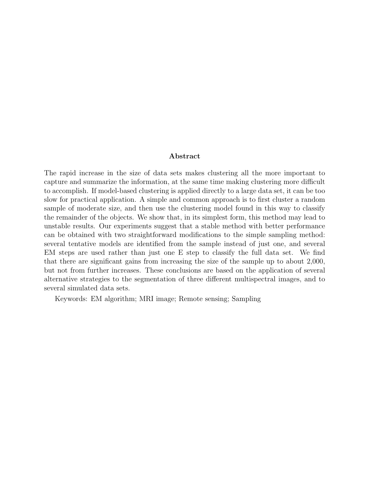#### Abstract

The rapid increase in the size of data sets makes clustering all the more important to capture and summarize the information, at the same time making clustering more difficult to accomplish. If model-based clustering is applied directly to a large data set, it can be too slow for practical application. A simple and common approach is to first cluster a random sample of moderate size, and then use the clustering model found in this way to classify the remainder of the objects. We show that, in its simplest form, this method may lead to unstable results. Our experiments suggest that a stable method with better performance can be obtained with two straightforward modifications to the simple sampling method: several tentative models are identified from the sample instead of just one, and several EM steps are used rather than just one E step to classify the full data set. We find that there are significant gains from increasing the size of the sample up to about 2,000, but not from further increases. These conclusions are based on the application of several alternative strategies to the segmentation of three different multispectral images, and to several simulated data sets.

Keywords: EM algorithm; MRI image; Remote sensing; Sampling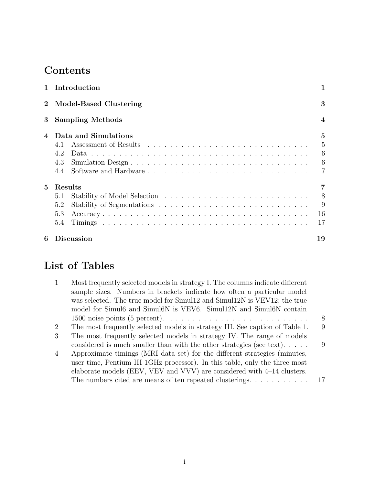# **Contents**

|                | 1 Introduction          |                  |
|----------------|-------------------------|------------------|
| $\overline{2}$ | Model-Based Clustering  | 3                |
| $\bf{3}$       | <b>Sampling Methods</b> | $\boldsymbol{4}$ |
| 4              | Data and Simulations    | $\overline{5}$   |
|                |                         | $\overline{5}$   |
|                | 4.2                     | 6                |
|                | 4.3                     | 6                |
|                | 4.4                     | 7                |
| 5              | Results                 |                  |
|                | 5.1                     | 8                |
|                | 5.2                     | 9                |
|                | 5.3                     | -16              |
|                | 5.4                     | 17               |
| 6              | <b>Discussion</b>       | 19               |

# List of Tables

| $\mathbf{1}$   | Most frequently selected models in strategy I. The columns indicate different                      |      |
|----------------|----------------------------------------------------------------------------------------------------|------|
|                | sample sizes. Numbers in brackets indicate how often a particular model                            |      |
|                | was selected. The true model for Simul12 and Simul12N is VEV12; the true                           |      |
|                | model for Simul6 and Simul6N is VEV6. Simul12N and Simul6N contain                                 |      |
|                | 1500 noise points (5 percent). $\dots \dots \dots \dots \dots \dots \dots \dots \dots \dots \dots$ | 8    |
| 2              | The most frequently selected models in strategy III. See caption of Table 1.                       | 9    |
| 3              | The most frequently selected models in strategy IV. The range of models                            |      |
|                | considered is much smaller than with the other strategies (see text). $\dots$ .                    | 9    |
| $\overline{4}$ | Approximate timings (MRI data set) for the different strategies (minutes,                          |      |
|                | user time, Pentium III 1GHz processor). In this table, only the three most                         |      |
|                | elaborate models (EEV, VEV and VVV) are considered with 4-14 clusters.                             |      |
|                | The numbers cited are means of ten repeated clusterings. $\dots \dots \dots$                       | - 17 |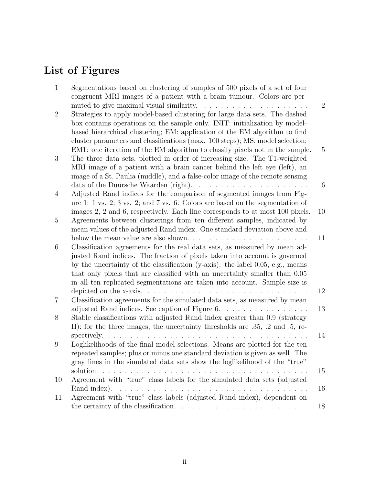# List of Figures

| $\mathbf{1}$   | Segmentations based on clustering of samples of 500 pixels of a set of four<br>congruent MRI images of a patient with a brain tumour. Colors are per-                                                                                      |                |
|----------------|--------------------------------------------------------------------------------------------------------------------------------------------------------------------------------------------------------------------------------------------|----------------|
| $\overline{2}$ | muted to give maximal visual similarity.<br>.<br>Strategies to apply model-based clustering for large data sets. The dashed<br>box contains operations on the sample only. INIT: initialization by model-                                  | $\overline{2}$ |
|                | based hierarchical clustering; EM: application of the EM algorithm to find<br>cluster parameters and classifications (max. 100 steps); MS: model selection;                                                                                |                |
| 3              | EM1: one iteration of the EM algorithm to classify pixels not in the sample.<br>The three data sets, plotted in order of increasing size. The T1-weighted                                                                                  | $\overline{5}$ |
|                | MRI image of a patient with a brain cancer behind the left eye (left), an<br>image of a St. Paulia (middle), and a false-color image of the remote sensing                                                                                 |                |
| $\overline{4}$ | data of the Duursche Waarden (right). $\ldots \ldots \ldots \ldots \ldots \ldots \ldots$<br>Adjusted Rand indices for the comparison of segmented images from Fig-                                                                         | 6              |
|                | ure 1: 1 vs. 2; 3 vs. 2; and 7 vs. 6. Colors are based on the segmentation of<br>images 2, 2 and 6, respectively. Each line corresponds to at most 100 pixels.                                                                             | 10             |
| 5              | Agreements between clusterings from ten different samples, indicated by<br>mean values of the adjusted Rand index. One standard deviation above and                                                                                        |                |
|                |                                                                                                                                                                                                                                            | 11             |
| 6              | Classification agreements for the real data sets, as measured by mean ad-<br>justed Rand indices. The fraction of pixels taken into account is governed                                                                                    |                |
|                | by the uncertainty of the classification (y-axis): the label 0.05, e.g., means<br>that only pixels that are classified with an uncertainty smaller than 0.05<br>in all ten replicated segmentations are taken into account. Sample size is |                |
|                |                                                                                                                                                                                                                                            | 12             |
| $\overline{7}$ | Classification agreements for the simulated data sets, as measured by mean<br>adjusted Rand indices. See caption of Figure 6.                                                                                                              | 13             |
| 8              | Stable classifications with adjusted Rand index greater than 0.9 (strategy<br>II): for the three images, the uncertainty thresholds are $.35, .2$ and $.5,$ re-                                                                            |                |
|                |                                                                                                                                                                                                                                            | 14             |
| 9              | Loglikelihoods of the final model selections. Means are plotted for the ten<br>repeated samples; plus or minus one standard deviation is given as well. The                                                                                |                |
|                | gray lines in the simulated data sets show the loglikelihood of the "true"                                                                                                                                                                 | 15             |
| 10             | Agreement with "true" class labels for the simulated data sets (adjusted                                                                                                                                                                   | 16             |
| 11             | Agreement with "true" class labels (adjusted Rand index), dependent on                                                                                                                                                                     |                |
|                |                                                                                                                                                                                                                                            | 18             |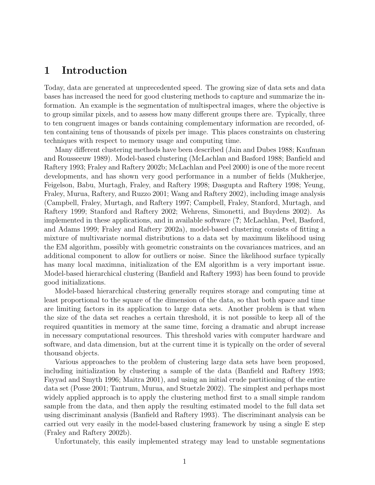# 1 Introduction

Today, data are generated at unprecedented speed. The growing size of data sets and data bases has increased the need for good clustering methods to capture and summarize the information. An example is the segmentation of multispectral images, where the objective is to group similar pixels, and to assess how many different groups there are. Typically, three to ten congruent images or bands containing complementary information are recorded, often containing tens of thousands of pixels per image. This places constraints on clustering techniques with respect to memory usage and computing time.

Many different clustering methods have been described (Jain and Dubes 1988; Kaufman and Rousseeuw 1989). Model-based clustering (McLachlan and Basford 1988; Banfield and Raftery 1993; Fraley and Raftery 2002b; McLachlan and Peel 2000) is one of the more recent developments, and has shown very good performance in a number of fields (Mukherjee, Feigelson, Babu, Murtagh, Fraley, and Raftery 1998; Dasgupta and Raftery 1998; Yeung, Fraley, Murua, Raftery, and Ruzzo 2001; Wang and Raftery 2002), including image analysis (Campbell, Fraley, Murtagh, and Raftery 1997; Campbell, Fraley, Stanford, Murtagh, and Raftery 1999; Stanford and Raftery 2002; Wehrens, Simonetti, and Buydens 2002). As implemented in these applications, and in available software (?; McLachlan, Peel, Basford, and Adams 1999; Fraley and Raftery 2002a), model-based clustering consists of fitting a mixture of multivariate normal distributions to a data set by maximum likelihood using the EM algorithm, possibly with geometric constraints on the covariances matrices, and an additional component to allow for outliers or noise. Since the likelihood surface typically has many local maximna, initialization of the EM algorithm is a very important issue. Model-based hierarchical clustering (Banfield and Raftery 1993) has been found to provide good initializations.

Model-based hierarchical clustering generally requires storage and computing time at least proportional to the square of the dimension of the data, so that both space and time are limiting factors in its application to large data sets. Another problem is that when the size of the data set reaches a certain threshold, it is not possible to keep all of the required quantities in memory at the same time, forcing a dramatic and abrupt increase in necessary computational resources. This threshold varies with computer hardware and software, and data dimension, but at the current time it is typically on the order of several thousand objects.

Various approaches to the problem of clustering large data sets have been proposed, including initialization by clustering a sample of the data (Banfield and Raftery 1993; Fayyad and Smyth 1996; Maitra 2001), and using an initial crude partitioning of the entire data set (Posse 2001; Tantrum, Murua, and Stuetzle 2002). The simplest and perhaps most widely applied approach is to apply the clustering method first to a small simple random sample from the data, and then apply the resulting estimated model to the full data set using discriminant analysis (Banfield and Raftery 1993). The discriminant analysis can be carried out very easily in the model-based clustering framework by using a single E step (Fraley and Raftery 2002b).

Unfortunately, this easily implemented strategy may lead to unstable segmentations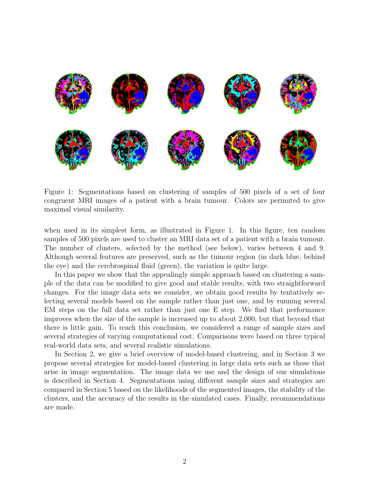

Figure 1: Segmentations based on clustering of samples of 500 pixels of a set of four congruent MRI images of a patient with a brain tumour. Colors are permuted to give maximal visual similarity.

when used in its simplest form, as illustrated in Figure 1. In this figure, ten random samples of 500 pixels are used to cluster an MRI data set of a patient with a brain tumour. The number of clusters, selected by the method (see below), varies between 4 and 9. Although several features are preserved, such as the tumour region (in dark blue, behind the eye) and the cerebrospinal fluid (green), the variation is quite large.

In this paper we show that the appealingly simple approach based on clustering a sample of the data can be modified to give good and stable results, with two straightforward changes. For the image data sets we consider, we obtain good results by tentatively selecting several models based on the sample rather than just one, and by running several EM steps on the full data set rather than just one E step. We find that performance improves when the size of the sample is increased up to about 2,000, but that beyond that there is little gain. To reach this conclusion, we considered a range of sample sizes and several strategies of varying computational cost. Comparisons were based on three typical real-world data sets, and several realistic simulations.

In Section 2, we give a brief overview of model-based clustering, and in Section 3 we propose several strategies for model-based clustering in large data sets such as those that arise in image segmentation. The image data we use and the design of our simulations is described in Section 4. Segmentations using different sample sizes and strategies are compared in Section 5 based on the likelihoods of the segmented images, the stability of the clusters, and the accuracy of the results in the simulated cases. Finally, recommendations are made.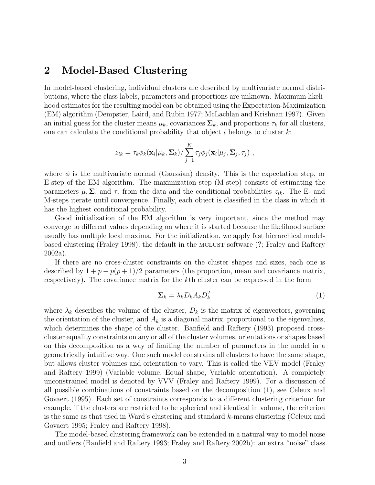## 2 Model-Based Clustering

In model-based clustering, individual clusters are described by multivariate normal distributions, where the class labels, parameters and proportions are unknown. Maximum likelihood estimates for the resulting model can be obtained using the Expectation-Maximization (EM) algorithm (Dempster, Laird, and Rubin 1977; McLachlan and Krishnan 1997). Given an initial guess for the cluster means  $\mu_k$ , covariances  $\Sigma_k$ , and proportions  $\tau_k$  for all clusters, one can calculate the conditional probability that object  $i$  belongs to cluster  $k$ :

$$
z_{ik} = \tau_k \phi_k(\mathbf{x}_i | \mu_k, \Sigma_k) / \sum_{j=1}^K \tau_j \phi_j(\mathbf{x}_i | \mu_j, \Sigma_j, \tau_j),
$$

where  $\phi$  is the multivariate normal (Gaussian) density. This is the expectation step, or E-step of the EM algorithm. The maximization step (M-step) consists of estimating the parameters  $\mu$ ,  $\Sigma$ , and  $\tau$ , from the data and the conditional probabilities  $z_{ik}$ . The E- and M-steps iterate until convergence. Finally, each object is classified in the class in which it has the highest conditional probability.

Good initialization of the EM algorithm is very important, since the method may converge to different values depending on where it is started because the likelihood surface usually has multiple local maxima. For the initialization, we apply fast hierarchical modelbased clustering (Fraley 1998), the default in the mclust software (?; Fraley and Raftery 2002a).

If there are no cross-cluster constraints on the cluster shapes and sizes, each one is described by  $1 + p + p(p+1)/2$  parameters (the proportion, mean and covariance matrix, respectively). The covariance matrix for the kth cluster can be expressed in the form

$$
\Sigma_k = \lambda_k D_k A_k D_k^T \tag{1}
$$

where  $\lambda_k$  describes the volume of the cluster,  $D_k$  is the matrix of eigenvectors, governing the orientation of the cluster, and  $A_k$  is a diagonal matrix, proportional to the eigenvalues, which determines the shape of the cluster. Banfield and Raftery (1993) proposed crosscluster equality constraints on any or all of the cluster volumes, orientations or shapes based on this decomposition as a way of limiting the number of parameters in the model in a geometrically intuitive way. One such model constrains all clusters to have the same shape, but allows cluster volumes and orientation to vary. This is called the VEV model (Fraley and Raftery 1999) (Variable volume, Equal shape, Variable orientation). A completely unconstrained model is denoted by VVV (Fraley and Raftery 1999). For a discussion of all possible combinations of constraints based on the decomposition (1), see Celeux and Govaert (1995). Each set of constraints corresponds to a different clustering criterion: for example, if the clusters are restricted to be spherical and identical in volume, the criterion is the same as that used in Ward's clustering and standard k-means clustering (Celeux and Govaert 1995; Fraley and Raftery 1998).

The model-based clustering framework can be extended in a natural way to model noise and outliers (Banfield and Raftery 1993; Fraley and Raftery 2002b): an extra "noise" class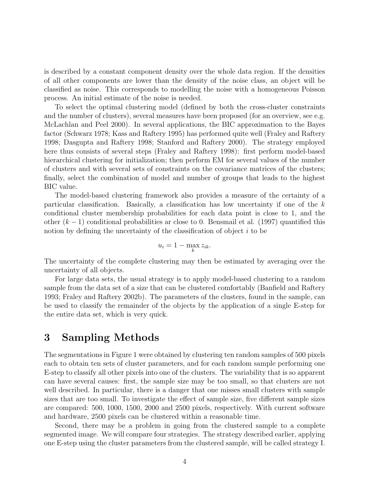is described by a constant component density over the whole data region. If the densities of all other components are lower than the density of the noise class, an object will be classified as noise. This corresponds to modelling the noise with a homogeneous Poisson process. An initial estimate of the noise is needed.

To select the optimal clustering model (defined by both the cross-cluster constraints and the number of clusters), several measures have been proposed (for an overview, see e.g. McLachlan and Peel 2000). In several applications, the BIC approximation to the Bayes factor (Schwarz 1978; Kass and Raftery 1995) has performed quite well (Fraley and Raftery 1998; Dasgupta and Raftery 1998; Stanford and Raftery 2000). The strategy employed here thus consists of several steps (Fraley and Raftery 1998): first perform model-based hierarchical clustering for initialization; then perform EM for several values of the number of clusters and with several sets of constraints on the covariance matrices of the clusters; finally, select the combination of model and number of groups that leads to the highest BIC value.

The model-based clustering framework also provides a measure of the certainty of a particular classification. Basically, a classification has low uncertainty if one of the  $k$ conditional cluster membership probabilities for each data point is close to 1, and the other  $(k-1)$  conditional probabilities ar close to 0. Bensmail et al. (1997) quantified this notion by defining the uncertainty of the classification of object  $i$  to be

$$
u_i = 1 - \max_k z_{ik}.
$$

The uncertainty of the complete clustering may then be estimated by averaging over the uncertainty of all objects.

For large data sets, the usual strategy is to apply model-based clustering to a random sample from the data set of a size that can be clustered comfortably (Banfield and Raftery 1993; Fraley and Raftery 2002b). The parameters of the clusters, found in the sample, can be used to classify the remainder of the objects by the application of a single E-step for the entire data set, which is very quick.

## 3 Sampling Methods

The segmentations in Figure 1 were obtained by clustering ten random samples of 500 pixels each to obtain ten sets of cluster parameters, and for each random sample performing one E-step to classify all other pixels into one of the clusters. The variability that is so apparent can have several causes: first, the sample size may be too small, so that clusters are not well described. In particular, there is a danger that one misses small clusters with sample sizes that are too small. To investigate the effect of sample size, five different sample sizes are compared: 500, 1000, 1500, 2000 and 2500 pixels, respectively. With current software and hardware, 2500 pixels can be clustered within a reasonable time.

Second, there may be a problem in going from the clustered sample to a complete segmented image. We will compare four strategies. The strategy described earlier, applying one E-step using the cluster parameters from the clustered sample, will be called strategy I.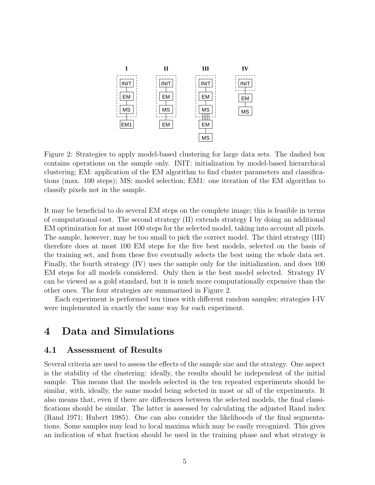

Figure 2: Strategies to apply model-based clustering for large data sets. The dashed box contains operations on the sample only. INIT: initialization by model-based hierarchical clustering; EM: application of the EM algorithm to find cluster parameters and classifications (max. 100 steps); MS: model selection; EM1: one iteration of the EM algorithm to classify pixels not in the sample.

It may be beneficial to do several EM steps on the complete image; this is feasible in terms of computational cost. The second strategy (II) extends strategy I by doing an additional EM optimization for at most 100 steps for the selected model, taking into account all pixels. The sample, however, may be too small to pick the correct model. The third strategy (III) therefore does at most 100 EM steps for the five best models, selected on the basis of the training set, and from these five eventually selects the best using the whole data set. Finally, the fourth strategy (IV) uses the sample only for the initialization, and does 100 EM steps for all models considered. Only then is the best model selected. Strategy IV can be viewed as a gold standard, but it is much more computationally expensive than the other ones. The four strategies are summarized in Figure 2.

Each experiment is performed ten times with different random samples; strategies I-IV were implemented in exactly the same way for each experiment.

# 4 Data and Simulations

#### 4.1 Assessment of Results

Several criteria are used to assess the effects of the sample size and the strategy. One aspect is the stability of the clustering: ideally, the results should be independent of the initial sample. This means that the models selected in the ten repeated experiments should be similar, with, ideally, the same model being selected in most or all of the experiments. It also means that, even if there are differences between the selected models, the final classifications should be similar. The latter is assessed by calculating the adjusted Rand index (Rand 1971; Hubert 1985). One can also consider the likelihoods of the final segmentations. Some samples may lead to local maxima which may be easily recognized. This gives an indication of what fraction should be used in the training phase and what strategy is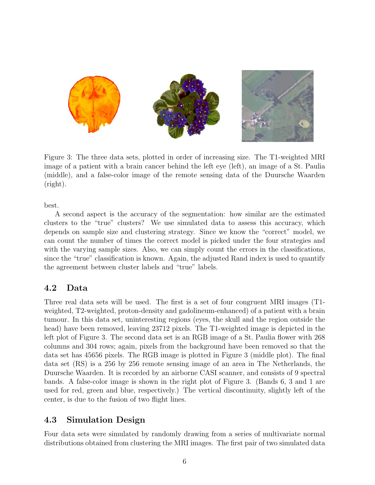

Figure 3: The three data sets, plotted in order of increasing size. The T1-weighted MRI image of a patient with a brain cancer behind the left eye (left), an image of a St. Paulia (middle), and a false-color image of the remote sensing data of the Duursche Waarden (right).

best.

A second aspect is the accuracy of the segmentation: how similar are the estimated clusters to the "true" clusters? We use simulated data to assess this accuracy, which depends on sample size and clustering strategy. Since we know the "correct" model, we can count the number of times the correct model is picked under the four strategies and with the varying sample sizes. Also, we can simply count the errors in the classifications, since the "true" classification is known. Again, the adjusted Rand index is used to quantify the agreement between cluster labels and "true" labels.

## 4.2 Data

Three real data sets will be used. The first is a set of four congruent MRI images (T1 weighted, T2-weighted, proton-density and gadolineum-enhanced) of a patient with a brain tumour. In this data set, uninteresting regions (eyes, the skull and the region outside the head) have been removed, leaving 23712 pixels. The T1-weighted image is depicted in the left plot of Figure 3. The second data set is an RGB image of a St. Paulia flower with 268 columns and 304 rows; again, pixels from the background have been removed so that the data set has 45656 pixels. The RGB image is plotted in Figure 3 (middle plot). The final data set (RS) is a 256 by 256 remote sensing image of an area in The Netherlands, the Duursche Waarden. It is recorded by an airborne CASI scanner, and consists of 9 spectral bands. A false-color image is shown in the right plot of Figure 3. (Bands 6, 3 and 1 are used for red, green and blue, respectively.) The vertical discontinuity, slightly left of the center, is due to the fusion of two flight lines.

## 4.3 Simulation Design

Four data sets were simulated by randomly drawing from a series of multivariate normal distributions obtained from clustering the MRI images. The first pair of two simulated data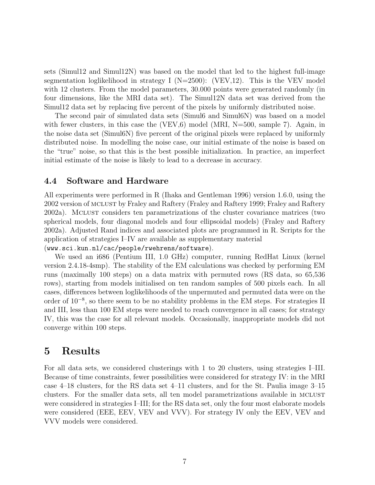sets (Simul12 and Simul12N) was based on the model that led to the highest full-image segmentation loglikelihood in strategy I ( $N=2500$ ): (VEV,12). This is the VEV model with 12 clusters. From the model parameters, 30.000 points were generated randomly (in four dimensions, like the MRI data set). The Simul12N data set was derived from the Simul12 data set by replacing five percent of the pixels by uniformly distributed noise.

The second pair of simulated data sets (Simul6 and Simul6N) was based on a model with fewer clusters, in this case the (VEV, $6$ ) model (MRI, N=500, sample 7). Again, in the noise data set (Simul6N) five percent of the original pixels were replaced by uniformly distributed noise. In modelling the noise case, our initial estimate of the noise is based on the "true" noise, so that this is the best possible initialization. In practice, an imperfect initial estimate of the noise is likely to lead to a decrease in accuracy.

### 4.4 Software and Hardware

All experiments were performed in R (Ihaka and Gentleman 1996) version 1.6.0, using the 2002 version of mclust by Fraley and Raftery (Fraley and Raftery 1999; Fraley and Raftery 2002a). Mclust considers ten parametrizations of the cluster covariance matrices (two spherical models, four diagonal models and four ellipsoidal models) (Fraley and Raftery 2002a). Adjusted Rand indices and associated plots are programmed in R. Scripts for the application of strategies I–IV are available as supplementary material

(www.sci.kun.nl/cac/people/rwehrens/software).

We used an i686 (Pentium III, 1.0 GHz) computer, running RedHat Linux (kernel version 2.4.18-4smp). The stability of the EM calculations was checked by performing EM runs (maximally 100 steps) on a data matrix with permuted rows (RS data, so 65,536 rows), starting from models initialised on ten random samples of 500 pixels each. In all cases, differences between loglikelihoods of the unpermuted and permuted data were on the order of 10<sup>−</sup><sup>8</sup> , so there seem to be no stability problems in the EM steps. For strategies II and III, less than 100 EM steps were needed to reach convergence in all cases; for strategy IV, this was the case for all relevant models. Occasionally, inappropriate models did not converge within 100 steps.

## 5 Results

For all data sets, we considered clusterings with 1 to 20 clusters, using strategies I–III. Because of time constraints, fewer possibilities were considered for strategy IV: in the MRI case 4–18 clusters, for the RS data set 4–11 clusters, and for the St. Paulia image 3–15 clusters. For the smaller data sets, all ten model parametrizations available in MCLUST were considered in strategies I–III; for the RS data set, only the four most elaborate models were considered (EEE, EEV, VEV and VVV). For strategy IV only the EEV, VEV and VVV models were considered.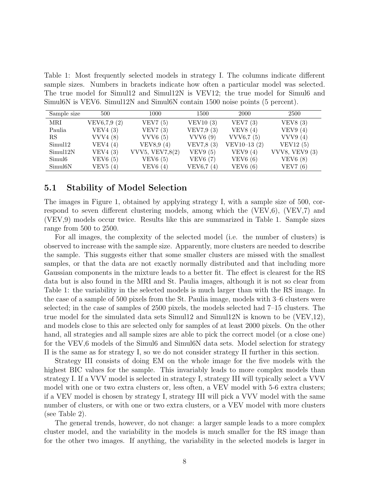Table 1: Most frequently selected models in strategy I. The columns indicate different sample sizes. Numbers in brackets indicate how often a particular model was selected. The true model for Simul12 and Simul12N is VEV12; the true model for Simul6 and Simul6N is VEV6. Simul12N and Simul6N contain 1500 noise points (5 percent).

| Sample size          | 500         | 1000            | 1500       | 2000           | 2500                  |
|----------------------|-------------|-----------------|------------|----------------|-----------------------|
| MRI                  | VEV6,7,9(2) | VEV7 $(5)$      | VEV10(3)   | VEV7(3)        | VEV8(3)               |
| Paulia               | VEV4(3)     | VEV7(3)         | VEV7,9(3)  | VEV8 $(4)$     | VEV9(4)               |
| RS                   | VVV4(8)     | VVV6(5)         | VVV6(9)    | VVV6,7(5)      | VVV9 $(4)$            |
| Simul <sub>12</sub>  | VEV4 $(4)$  | VEV8,9 $(4)$    | VEV7,8 (3) | VEV10-13 $(2)$ | VEV12 $(5)$           |
| Simul12N             | VEV4(3)     | VVV5, VEV7,8(2) | VEV9(5)    | VEV9(4)        | <b>VVV8, VEV9 (3)</b> |
| Simul <sub>6</sub>   | VEV6(5)     | VEV6(5)         | VEV6(7)    | VEV6(6)        | VEV6(8)               |
| Simul <sub>6</sub> N | VEV5(4)     | VEV6(4)         | VEV6,7(4)  | VEV6(6)        | VEV7 $(6)$            |

#### 5.1 Stability of Model Selection

The images in Figure 1, obtained by applying strategy I, with a sample size of 500, correspond to seven different clustering models, among which the (VEV,6), (VEV,7) and (VEV,9) models occur twice. Results like this are summarized in Table 1. Sample sizes range from 500 to 2500.

For all images, the complexity of the selected model (i.e. the number of clusters) is observed to increase with the sample size. Apparently, more clusters are needed to describe the sample. This suggests either that some smaller clusters are missed with the smallest samples, or that the data are not exactly normally distributed and that including more Gaussian components in the mixture leads to a better fit. The effect is clearest for the RS data but is also found in the MRI and St. Paulia images, although it is not so clear from Table 1: the variability in the selected models is much larger than with the RS image. In the case of a sample of 500 pixels from the St. Paulia image, models with 3–6 clusters were selected; in the case of samples of 2500 pixels, the models selected had 7–15 clusters. The true model for the simulated data sets Simul12 and Simul12N is known to be  $(VEV,12)$ , and models close to this are selected only for samples of at least 2000 pixels. On the other hand, all strategies and all sample sizes are able to pick the correct model (or a close one) for the VEV,6 models of the Simul6 and Simul6N data sets. Model selection for strategy II is the same as for strategy I, so we do not consider strategy II further in this section.

Strategy III consists of doing EM on the whole image for the five models with the highest BIC values for the sample. This invariably leads to more complex models than strategy I. If a VVV model is selected in strategy I, strategy III will typically select a VVV model with one or two extra clusters or, less often, a VEV model with 5-6 extra clusters; if a VEV model is chosen by strategy I, strategy III will pick a VVV model with the same number of clusters, or with one or two extra clusters, or a VEV model with more clusters (see Table 2).

The general trends, however, do not change: a larger sample leads to a more complex cluster model, and the variability in the models is much smaller for the RS image than for the other two images. If anything, the variability in the selected models is larger in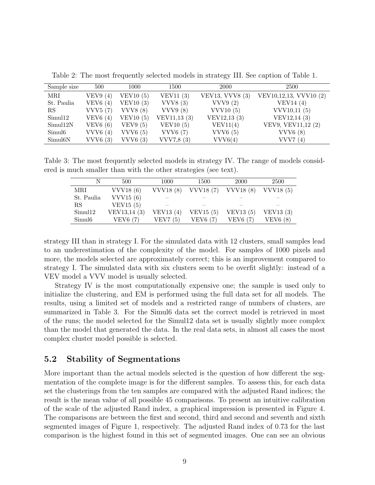| Sample size        | 500     | 1000            | 1500         | 2000            | 2500                   |
|--------------------|---------|-----------------|--------------|-----------------|------------------------|
| MRI                | VEV9(4) | VEV10 $(5)$     | VEV11 $(3)$  | VEV13, VVV8 (3) | VEV10,12,13, VVV10 (2) |
| St. Paulia         | VEV6(4) | VEV10 $(3)$     | VVV8(3)      | VVV9(2)         | VEV14 $(4)$            |
| $_{\rm RS}$        | VVV5(7) | <b>VVV8</b> (8) | VVV9(8)      | VVV10(5)        | VVV10,11(5)            |
| Simul12            | VEV6(4) | VEV10(5)        | VEV11,13 (3) | VEV12,13 (3)    | VEV12,14 (3)           |
| Simul12N           | VEV6(6) | VEV9(5)         | VEV10(5)     | VEV11(4)        | VEV9, VEV11,12 (2)     |
| Simul <sub>6</sub> | VVV6(4) | VVV6(5)         | VVV6(7)      | VVV6(5)         | VVV6(8)                |
| Simul6N            | VVV6(3) | VVV6(3)         | VVV7,8(3)    | VVV6(4)         | VVV7 $(4)$             |

Table 2: The most frequently selected models in strategy III. See caption of Table 1.

Table 3: The most frequently selected models in strategy IV. The range of models considered is much smaller than with the other strategies (see text).

|                    | 500          | 1000            | 1500        | <b>2000</b> | 2500       |
|--------------------|--------------|-----------------|-------------|-------------|------------|
| MRI                | VVV18 $(6)$  | <b>VVV18(8)</b> | VVV18(7)    | VVV18(8)    | VVV18(5)   |
| St. Paulia         | VVV15 $(6)$  |                 |             |             |            |
| RS                 | VEV15 $(5)$  |                 |             |             |            |
| Simul12            | VEV13,14 (3) | VEV13 $(4)$     | VEV15 $(5)$ | VEV13 $(5)$ | VEV13 (3)  |
| Simul <sub>6</sub> | VEV6(7)      | VEV7 $(5)$      | VEV6(7)     | VEV6(7)     | VEV $6(8)$ |

strategy III than in strategy I. For the simulated data with 12 clusters, small samples lead to an underestimation of the complexity of the model. For samples of 1000 pixels and more, the models selected are approximately correct; this is an improvement compared to strategy I. The simulated data with six clusters seem to be overfit slightly: instead of a VEV model a VVV model is usually selected.

Strategy IV is the most computationally expensive one; the sample is used only to initialize the clustering, and EM is performed using the full data set for all models. The results, using a limited set of models and a restricted range of numbers of clusters, are summarized in Table 3. For the Simul6 data set the correct model is retrieved in most of the runs; the model selected for the Simul12 data set is usually slightly more complex than the model that generated the data. In the real data sets, in almost all cases the most complex cluster model possible is selected.

## 5.2 Stability of Segmentations

More important than the actual models selected is the question of how different the segmentation of the complete image is for the different samples. To assess this, for each data set the clusterings from the ten samples are compared with the adjusted Rand indices; the result is the mean value of all possible 45 comparisons. To present an intuitive calibration of the scale of the adjusted Rand index, a graphical impression is presented in Figure 4. The comparisons are between the first and second, third and second and seventh and sixth segmented images of Figure 1, respectively. The adjusted Rand index of 0.73 for the last comparison is the highest found in this set of segmented images. One can see an obvious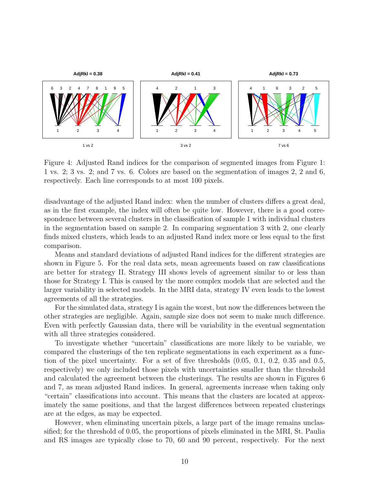

Figure 4: Adjusted Rand indices for the comparison of segmented images from Figure 1: 1 vs. 2; 3 vs. 2; and 7 vs. 6. Colors are based on the segmentation of images 2, 2 and 6, respectively. Each line corresponds to at most 100 pixels.

disadvantage of the adjusted Rand index: when the number of clusters differs a great deal, as in the first example, the index will often be quite low. However, there is a good correspondence between several clusters in the classification of sample 1 with individual clusters in the segmentation based on sample 2. In comparing segmentation 3 with 2, one clearly finds mixed clusters, which leads to an adjusted Rand index more or less equal to the first comparison.

Means and standard deviations of adjusted Rand indices for the different strategies are shown in Figure 5. For the real data sets, mean agreements based on raw classifications are better for strategy II. Strategy III shows levels of agreement similar to or less than those for Strategy I. This is caused by the more complex models that are selected and the larger variability in selected models. In the MRI data, strategy IV even leads to the lowest agreements of all the strategies.

For the simulated data, strategy I is again the worst, but now the differences between the other strategies are negligible. Again, sample size does not seem to make much difference. Even with perfectly Gaussian data, there will be variability in the eventual segmentation with all three strategies considered.

To investigate whether "uncertain" classifications are more likely to be variable, we compared the clusterings of the ten replicate segmentations in each experiment as a function of the pixel uncertainty. For a set of five thresholds (0.05, 0.1, 0.2, 0.35 and 0.5, respectively) we only included those pixels with uncertainties smaller than the threshold and calculated the agreement between the clusterings. The results are shown in Figures 6 and 7, as mean adjusted Rand indices. In general, agreements increase when taking only "certain" classifications into account. This means that the clusters are located at approximately the same positions, and that the largest differences between repeated clusterings are at the edges, as may be expected.

However, when eliminating uncertain pixels, a large part of the image remains unclassified; for the threshold of 0.05, the proportions of pixels eliminated in the MRI, St. Paulia and RS images are typically close to 70, 60 and 90 percent, respectively. For the next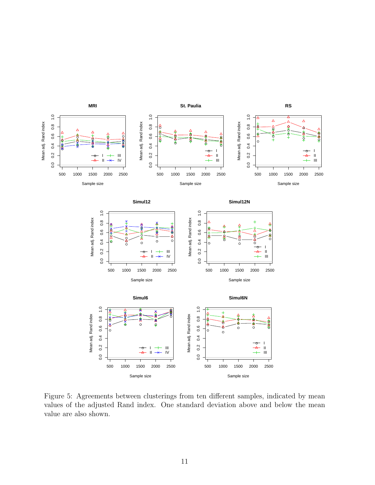

Figure 5: Agreements between clusterings from ten different samples, indicated by mean values of the adjusted Rand index. One standard deviation above and below the mean value are also shown.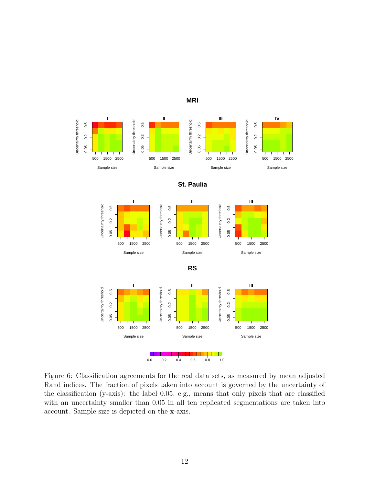

Figure 6: Classification agreements for the real data sets, as measured by mean adjusted Rand indices. The fraction of pixels taken into account is governed by the uncertainty of the classification (y-axis): the label 0.05, e.g., means that only pixels that are classified with an uncertainty smaller than 0.05 in all ten replicated segmentations are taken into account. Sample size is depicted on the x-axis.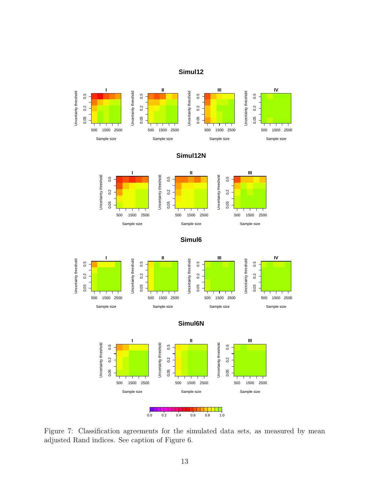### **Simul12**















Figure 7: Classification agreements for the simulated data sets, as measured by mean adjusted Rand indices. See caption of Figure 6.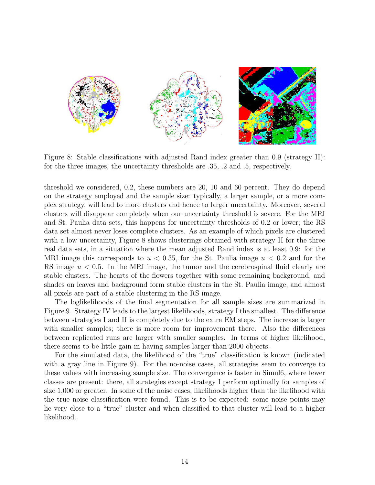

Figure 8: Stable classifications with adjusted Rand index greater than 0.9 (strategy II): for the three images, the uncertainty thresholds are .35, .2 and .5, respectively.

threshold we considered, 0.2, these numbers are 20, 10 and 60 percent. They do depend on the strategy employed and the sample size: typically, a larger sample, or a more complex strategy, will lead to more clusters and hence to larger uncertainty. Moreover, several clusters will disappear completely when our uncertainty threshold is severe. For the MRI and St. Paulia data sets, this happens for uncertainty thresholds of 0.2 or lower; the RS data set almost never loses complete clusters. As an example of which pixels are clustered with a low uncertainty, Figure 8 shows clusterings obtained with strategy II for the three real data sets, in a situation where the mean adjusted Rand index is at least 0.9: for the MRI image this corresponds to  $u < 0.35$ , for the St. Paulia image  $u < 0.2$  and for the RS image  $u < 0.5$ . In the MRI image, the tumor and the cerebrospinal fluid clearly are stable clusters. The hearts of the flowers together with some remaining background, and shades on leaves and background form stable clusters in the St. Paulia image, and almost all pixels are part of a stable clustering in the RS image.

The loglikelihoods of the final segmentation for all sample sizes are summarized in Figure 9. Strategy IV leads to the largest likelihoods, strategy I the smallest. The difference between strategies I and II is completely due to the extra EM steps. The increase is larger with smaller samples; there is more room for improvement there. Also the differences between replicated runs are larger with smaller samples. In terms of higher likelihood, there seems to be little gain in having samples larger than 2000 objects.

For the simulated data, the likelihood of the "true" classification is known (indicated with a gray line in Figure 9). For the no-noise cases, all strategies seem to converge to these values with increasing sample size. The convergence is faster in Simul6, where fewer classes are present: there, all strategies except strategy I perform optimally for samples of size 1,000 or greater. In some of the noise cases, likelihoods higher than the likelihood with the true noise classification were found. This is to be expected: some noise points may lie very close to a "true" cluster and when classified to that cluster will lead to a higher likelihood.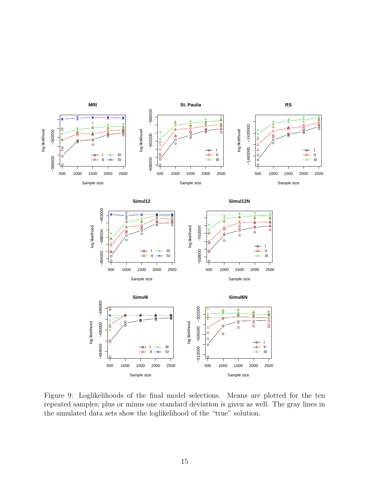

Figure 9: Loglikelihoods of the final model selections. Means are plotted for the ten repeated samples; plus or minus one standard deviation is given as well. The gray lines in the simulated data sets show the loglikelihood of the "true" solution.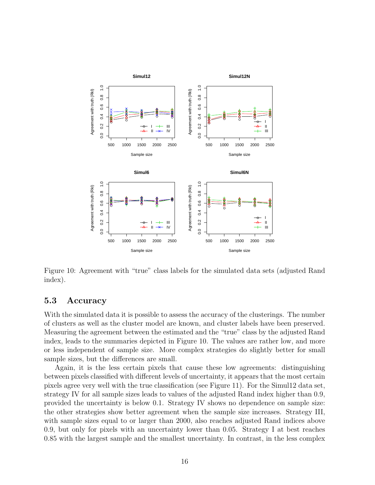

Figure 10: Agreement with "true" class labels for the simulated data sets (adjusted Rand index).

### 5.3 Accuracy

With the simulated data it is possible to assess the accuracy of the clusterings. The number of clusters as well as the cluster model are known, and cluster labels have been preserved. Measuring the agreement between the estimated and the "true" class by the adjusted Rand index, leads to the summaries depicted in Figure 10. The values are rather low, and more or less independent of sample size. More complex strategies do slightly better for small sample sizes, but the differences are small.

Again, it is the less certain pixels that cause these low agreements: distinguishing between pixels classified with different levels of uncertainty, it appears that the most certain pixels agree very well with the true classification (see Figure 11). For the Simul12 data set, strategy IV for all sample sizes leads to values of the adjusted Rand index higher than 0.9, provided the uncertainty is below 0.1. Strategy IV shows no dependence on sample size: the other strategies show better agreement when the sample size increases. Strategy III, with sample sizes equal to or larger than 2000, also reaches adjusted Rand indices above 0.9, but only for pixels with an uncertainty lower than 0.05. Strategy I at best reaches 0.85 with the largest sample and the smallest uncertainty. In contrast, in the less complex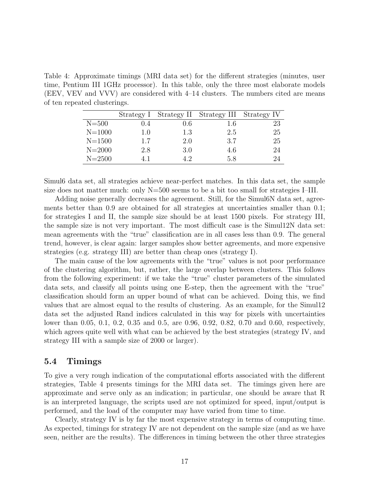Table 4: Approximate timings (MRI data set) for the different strategies (minutes, user time, Pentium III 1GHz processor). In this table, only the three most elaborate models (EEV, VEV and VVV) are considered with 4–14 clusters. The numbers cited are means of ten repeated clusterings.

|            | Strategy 1 |     | Strategy II Strategy III Strategy IV |    |
|------------|------------|-----|--------------------------------------|----|
| $N = 500$  | 0.4        | 0.6 | 1.6                                  | 23 |
| $N = 1000$ | 1.0        | 1.3 | 2.5                                  | 25 |
| $N = 1500$ | 1.7        | 2.0 | 3.7                                  | 25 |
| $N = 2000$ | 2.8        | 3.0 | 4.6                                  | 24 |
| $N = 2500$ |            | 19  | 5.8                                  | 24 |

Simul6 data set, all strategies achieve near-perfect matches. In this data set, the sample size does not matter much: only N=500 seems to be a bit too small for strategies I–III.

Adding noise generally decreases the agreement. Still, for the Simul6N data set, agreements better than 0.9 are obtained for all strategies at uncertainties smaller than 0.1; for strategies I and II, the sample size should be at least 1500 pixels. For strategy III, the sample size is not very important. The most difficult case is the Simul12N data set: mean agreements with the "true" classification are in all cases less than 0.9. The general trend, however, is clear again: larger samples show better agreements, and more expensive strategies (e.g. strategy III) are better than cheap ones (strategy I).

The main cause of the low agreements with the "true" values is not poor performance of the clustering algorithm, but, rather, the large overlap between clusters. This follows from the following experiment: if we take the "true" cluster parameters of the simulated data sets, and classify all points using one E-step, then the agreement with the "true" classification should form an upper bound of what can be achieved. Doing this, we find values that are almost equal to the results of clustering. As an example, for the Simul12 data set the adjusted Rand indices calculated in this way for pixels with uncertainties lower than 0.05, 0.1, 0.2, 0.35 and 0.5, are 0.96, 0.92, 0.82, 0.70 and 0.60, respectively, which agrees quite well with what can be achieved by the best strategies (strategy IV, and strategy III with a sample size of 2000 or larger).

#### 5.4 Timings

To give a very rough indication of the computational efforts associated with the different strategies, Table 4 presents timings for the MRI data set. The timings given here are approximate and serve only as an indication; in particular, one should be aware that R is an interpreted language, the scripts used are not optimized for speed, input/output is performed, and the load of the computer may have varied from time to time.

Clearly, strategy IV is by far the most expensive strategy in terms of computing time. As expected, timings for strategy IV are not dependent on the sample size (and as we have seen, neither are the results). The differences in timing between the other three strategies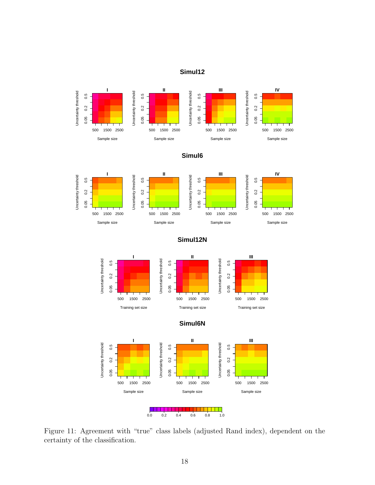### **Simul12**







**Simul12N**







Figure 11: Agreement with "true" class labels (adjusted Rand index), dependent on the certainty of the classification.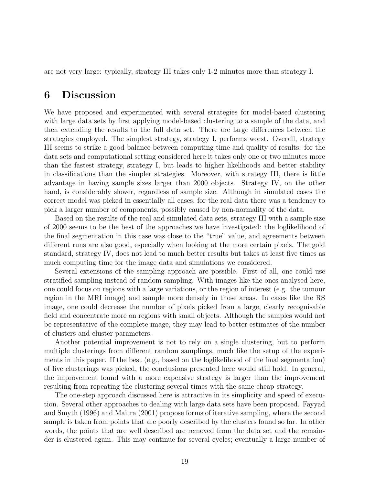are not very large: typically, strategy III takes only 1-2 minutes more than strategy I.

## 6 Discussion

We have proposed and experimented with several strategies for model-based clustering with large data sets by first applying model-based clustering to a sample of the data, and then extending the results to the full data set. There are large differences between the strategies employed. The simplest strategy, strategy I, performs worst. Overall, strategy III seems to strike a good balance between computing time and quality of results: for the data sets and computational setting considered here it takes only one or two minutes more than the fastest strategy, strategy I, but leads to higher likelihoods and better stability in classifications than the simpler strategies. Moreover, with strategy III, there is little advantage in having sample sizes larger than 2000 objects. Strategy IV, on the other hand, is considerably slower, regardless of sample size. Although in simulated cases the correct model was picked in essentially all cases, for the real data there was a tendency to pick a larger number of components, possibly caused by non-normality of the data.

Based on the results of the real and simulated data sets, strategy III with a sample size of 2000 seems to be the best of the approaches we have investigated: the loglikelihood of the final segmentation in this case was close to the "true" value, and agreements between different runs are also good, especially when looking at the more certain pixels. The gold standard, strategy IV, does not lead to much better results but takes at least five times as much computing time for the image data and simulations we considered.

Several extensions of the sampling approach are possible. First of all, one could use stratified sampling instead of random sampling. With images like the ones analysed here, one could focus on regions with a large variations, or the region of interest (e.g. the tumour region in the MRI image) and sample more densely in those areas. In cases like the RS image, one could decrease the number of pixels picked from a large, clearly recognisable field and concentrate more on regions with small objects. Although the samples would not be representative of the complete image, they may lead to better estimates of the number of clusters and cluster parameters.

Another potential improvement is not to rely on a single clustering, but to perform multiple clusterings from different random samplings, much like the setup of the experiments in this paper. If the best (e.g., based on the loglikelihood of the final segmentation) of five clusterings was picked, the conclusions presented here would still hold. In general, the improvement found with a more expensive strategy is larger than the improvement resulting from repeating the clustering several times with the same cheap strategy.

The one-step approach discussed here is attractive in its simplicity and speed of execution. Several other approaches to dealing with large data sets have been proposed. Fayyad and Smyth (1996) and Maitra (2001) propose forms of iterative sampling, where the second sample is taken from points that are poorly described by the clusters found so far. In other words, the points that are well described are removed from the data set and the remainder is clustered again. This may continue for several cycles; eventually a large number of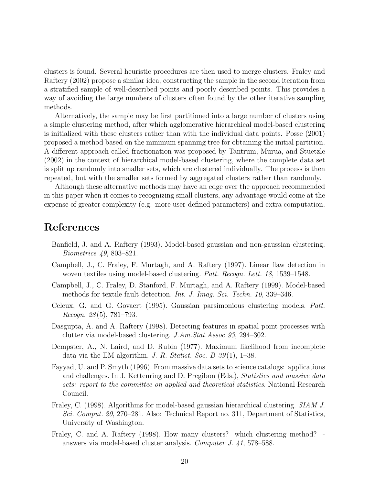clusters is found. Several heuristic procedures are then used to merge clusters. Fraley and Raftery (2002) propose a similar idea, constructing the sample in the second iteration from a stratified sample of well-described points and poorly described points. This provides a way of avoiding the large numbers of clusters often found by the other iterative sampling methods.

Alternatively, the sample may be first partitioned into a large number of clusters using a simple clustering method, after which agglomerative hierarchical model-based clustering is initialized with these clusters rather than with the individual data points. Posse (2001) proposed a method based on the minimum spanning tree for obtaining the initial partition. A different approach called fractionation was proposed by Tantrum, Murua, and Stuetzle (2002) in the context of hierarchical model-based clustering, where the complete data set is split up randomly into smaller sets, which are clustered individually. The process is then repeated, but with the smaller sets formed by aggregated clusters rather than randomly.

Although these alternative methods may have an edge over the approach recommended in this paper when it comes to recognizing small clusters, any advantage would come at the expense of greater complexity (e.g. more user-defined parameters) and extra computation.

# References

- Banfield, J. and A. Raftery (1993). Model-based gaussian and non-gaussian clustering. Biometrics 49, 803–821.
- Campbell, J., C. Fraley, F. Murtagh, and A. Raftery (1997). Linear flaw detection in woven textiles using model-based clustering. Patt. Recogn. Lett. 18, 1539–1548.
- Campbell, J., C. Fraley, D. Stanford, F. Murtagh, and A. Raftery (1999). Model-based methods for textile fault detection. *Int. J. Imag. Sci. Techn.* 10, 339–346.
- Celeux, G. and G. Govaert (1995). Gaussian parsimonious clustering models. Patt. Recogn.  $28(5)$ , 781–793.
- Dasgupta, A. and A. Raftery (1998). Detecting features in spatial point processes with clutter via model-based clustering. J.Am.Stat.Assoc 93, 294–302.
- Dempster, A., N. Laird, and D. Rubin (1977). Maximum likelihood from incomplete data via the EM algorithm. J. R. Statist. Soc. B  $39(1)$ , 1–38.
- Fayyad, U. and P. Smyth (1996). From massive data sets to science catalogs: applications and challenges. In J. Kettenring and D. Pregibon (Eds.), Statistics and massive data sets: report to the committee on applied and theoretical statistics. National Research Council.
- Fraley, C. (1998). Algorithms for model-based gaussian hierarchical clustering. SIAM J. Sci. Comput. 20, 270–281. Also: Technical Report no. 311, Department of Statistics, University of Washington.
- Fraley, C. and A. Raftery (1998). How many clusters? which clustering method? answers via model-based cluster analysis. Computer J. 41, 578–588.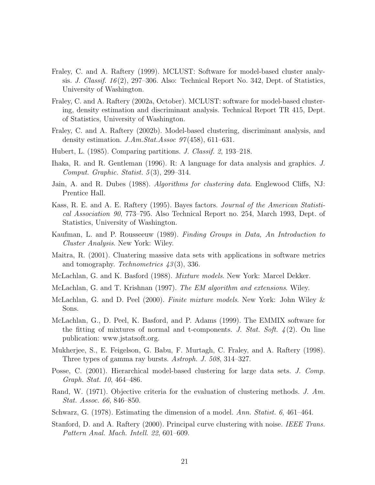- Fraley, C. and A. Raftery (1999). MCLUST: Software for model-based cluster analysis. J. Classif. 16 (2), 297–306. Also: Technical Report No. 342, Dept. of Statistics, University of Washington.
- Fraley, C. and A. Raftery (2002a, October). MCLUST: software for model-based clustering, density estimation and discriminant analysis. Technical Report TR 415, Dept. of Statistics, University of Washington.
- Fraley, C. and A. Raftery (2002b). Model-based clustering, discriminant analysis, and density estimation.  $J.Am.Stat. Assoc. 97(458), 611-631.$
- Hubert, L. (1985). Comparing partitions. J. Classif. 2, 193–218.
- Ihaka, R. and R. Gentleman (1996). R: A language for data analysis and graphics. J. Comput. Graphic. Statist. 5 (3), 299–314.
- Jain, A. and R. Dubes (1988). Algorithms for clustering data. Englewood Cliffs, NJ: Prentice Hall.
- Kass, R. E. and A. E. Raftery (1995). Bayes factors. Journal of the American Statistical Association 90, 773–795. Also Technical Report no. 254, March 1993, Dept. of Statistics, University of Washington.
- Kaufman, L. and P. Rousseeuw (1989). Finding Groups in Data, An Introduction to Cluster Analysis. New York: Wiley.
- Maitra, R. (2001). Cluatering massive data sets with applications in software metrics and tomography. Technometrics 43 (3), 336.
- McLachlan, G. and K. Basford (1988). Mixture models. New York: Marcel Dekker.
- McLachlan, G. and T. Krishnan (1997). The EM algorithm and extensions. Wiley.
- McLachlan, G. and D. Peel (2000). Finite mixture models. New York: John Wiley & Sons.
- McLachlan, G., D. Peel, K. Basford, and P. Adams (1999). The EMMIX software for the fitting of mixtures of normal and t-components. J. Stat. Soft.  $\frac{4(2)}{2}$ . On line publication: www.jstatsoft.org.
- Mukherjee, S., E. Feigelson, G. Babu, F. Murtagh, C. Fraley, and A. Raftery (1998). Three types of gamma ray bursts. Astroph. J. 508, 314–327.
- Posse, C. (2001). Hierarchical model-based clustering for large data sets. *J. Comp.* Graph. Stat. 10, 464–486.
- Rand, W. (1971). Objective criteria for the evaluation of clustering methods. J. Am. Stat. Assoc. 66, 846–850.
- Schwarz, G. (1978). Estimating the dimension of a model. Ann. Statist. 6, 461–464.
- Stanford, D. and A. Raftery (2000). Principal curve clustering with noise. IEEE Trans. Pattern Anal. Mach. Intell. 22, 601–609.